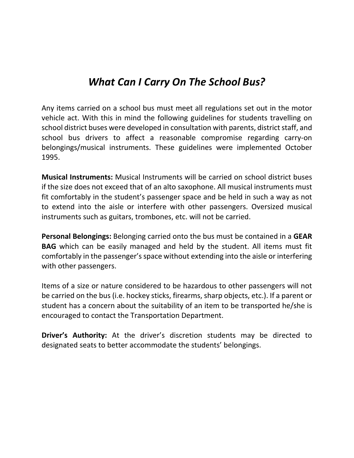## *What Can I Carry On The School Bus?*

Any items carried on a school bus must meet all regulations set out in the motor vehicle act. With this in mind the following guidelines for students travelling on school district buses were developed in consultation with parents, district staff, and school bus drivers to affect a reasonable compromise regarding carry‐on belongings/musical instruments. These guidelines were implemented October 1995.

**Musical Instruments:** Musical Instruments will be carried on school district buses if the size does not exceed that of an alto saxophone. All musical instruments must fit comfortably in the student's passenger space and be held in such a way as not to extend into the aisle or interfere with other passengers. Oversized musical instruments such as guitars, trombones, etc. will not be carried.

**Personal Belongings:** Belonging carried onto the bus must be contained in a **GEAR BAG** which can be easily managed and held by the student. All items must fit comfortably in the passenger'sspace without extending into the aisle or interfering with other passengers.

Items of a size or nature considered to be hazardous to other passengers will not be carried on the bus (i.e. hockey sticks, firearms, sharp objects, etc.). If a parent or student has a concern about the suitability of an item to be transported he/she is encouraged to contact the Transportation Department.

**Driver's Authority:** At the driver's discretion students may be directed to designated seats to better accommodate the students' belongings.